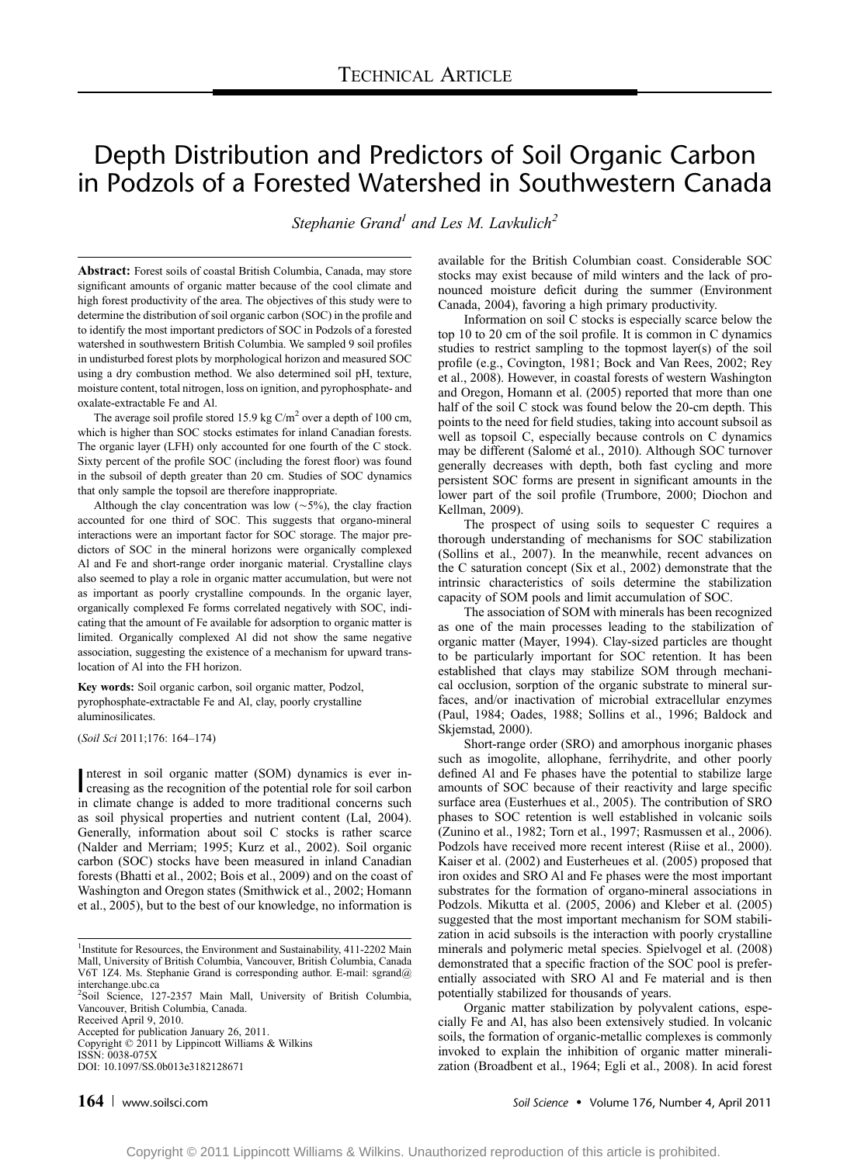# Depth Distribution and Predictors of Soil Organic Carbon in Podzols of a Forested Watershed in Southwestern Canada

Stephanie Grand<sup>1</sup> and Les M. Lavkulich<sup>2</sup>

Abstract: Forest soils of coastal British Columbia, Canada, may store significant amounts of organic matter because of the cool climate and high forest productivity of the area. The objectives of this study were to determine the distribution of soil organic carbon (SOC) in the profile and to identify the most important predictors of SOC in Podzols of a forested watershed in southwestern British Columbia. We sampled 9 soil profiles in undisturbed forest plots by morphological horizon and measured SOC using a dry combustion method. We also determined soil pH, texture, moisture content, total nitrogen, loss on ignition, and pyrophosphate- and oxalate-extractable Fe and Al.

The average soil profile stored 15.9 kg  $C/m^2$  over a depth of 100 cm, which is higher than SOC stocks estimates for inland Canadian forests. The organic layer (LFH) only accounted for one fourth of the C stock. Sixty percent of the profile SOC (including the forest floor) was found in the subsoil of depth greater than 20 cm. Studies of SOC dynamics that only sample the topsoil are therefore inappropriate.

Although the clay concentration was low  $(\sim 5\%)$ , the clay fraction accounted for one third of SOC. This suggests that organo-mineral interactions were an important factor for SOC storage. The major predictors of SOC in the mineral horizons were organically complexed Al and Fe and short-range order inorganic material. Crystalline clays also seemed to play a role in organic matter accumulation, but were not as important as poorly crystalline compounds. In the organic layer, organically complexed Fe forms correlated negatively with SOC, indicating that the amount of Fe available for adsorption to organic matter is limited. Organically complexed Al did not show the same negative association, suggesting the existence of a mechanism for upward translocation of Al into the FH horizon.

Key words: Soil organic carbon, soil organic matter, Podzol, pyrophosphate-extractable Fe and Al, clay, poorly crystalline aluminosilicates.

(Soil Sci 2011;176: 164-174)

Interest in soil organic matter (SOM) dynamics is ever increasing as the recognition of the potential role for soil carbon nterest in soil organic matter (SOM) dynamics is ever inin climate change is added to more traditional concerns such as soil physical properties and nutrient content (Lal, 2004). Generally, information about soil C stocks is rather scarce (Nalder and Merriam; 1995; Kurz et al., 2002). Soil organic carbon (SOC) stocks have been measured in inland Canadian forests (Bhatti et al., 2002; Bois et al., 2009) and on the coast of Washington and Oregon states (Smithwick et al., 2002; Homann et al., 2005), but to the best of our knowledge, no information is

Received April 9, 2010. Accepted for publication January 26, 2011.

Copyright  $@$  2011 by Lippincott Williams & Wilkins ISSN: 0038-075X DOI: 10.1097/SS.0b013e3182128671

available for the British Columbian coast. Considerable SOC stocks may exist because of mild winters and the lack of pronounced moisture deficit during the summer (Environment Canada, 2004), favoring a high primary productivity.

Information on soil C stocks is especially scarce below the top 10 to 20 cm of the soil profile. It is common in C dynamics studies to restrict sampling to the topmost layer(s) of the soil profile (e.g., Covington, 1981; Bock and Van Rees, 2002; Rey et al., 2008). However, in coastal forests of western Washington and Oregon, Homann et al. (2005) reported that more than one half of the soil C stock was found below the 20-cm depth. This points to the need for field studies, taking into account subsoil as well as topsoil C, especially because controls on C dynamics may be different (Salomé et al., 2010). Although SOC turnover generally decreases with depth, both fast cycling and more persistent SOC forms are present in significant amounts in the lower part of the soil profile (Trumbore, 2000; Diochon and Kellman, 2009).

The prospect of using soils to sequester C requires a thorough understanding of mechanisms for SOC stabilization (Sollins et al., 2007). In the meanwhile, recent advances on the C saturation concept (Six et al., 2002) demonstrate that the intrinsic characteristics of soils determine the stabilization capacity of SOM pools and limit accumulation of SOC.

The association of SOM with minerals has been recognized as one of the main processes leading to the stabilization of organic matter (Mayer, 1994). Clay-sized particles are thought to be particularly important for SOC retention. It has been established that clays may stabilize SOM through mechanical occlusion, sorption of the organic substrate to mineral surfaces, and/or inactivation of microbial extracellular enzymes (Paul, 1984; Oades, 1988; Sollins et al., 1996; Baldock and Skjemstad, 2000).

Short-range order (SRO) and amorphous inorganic phases such as imogolite, allophane, ferrihydrite, and other poorly defined Al and Fe phases have the potential to stabilize large amounts of SOC because of their reactivity and large specific surface area (Eusterhues et al., 2005). The contribution of SRO phases to SOC retention is well established in volcanic soils (Zunino et al., 1982; Torn et al., 1997; Rasmussen et al., 2006). Podzols have received more recent interest (Riise et al., 2000). Kaiser et al. (2002) and Eusterheues et al. (2005) proposed that iron oxides and SRO Al and Fe phases were the most important substrates for the formation of organo-mineral associations in Podzols. Mikutta et al. (2005, 2006) and Kleber et al. (2005) suggested that the most important mechanism for SOM stabilization in acid subsoils is the interaction with poorly crystalline minerals and polymeric metal species. Spielvogel et al. (2008) demonstrated that a specific fraction of the SOC pool is preferentially associated with SRO Al and Fe material and is then potentially stabilized for thousands of years.

Organic matter stabilization by polyvalent cations, especially Fe and Al, has also been extensively studied. In volcanic soils, the formation of organic-metallic complexes is commonly invoked to explain the inhibition of organic matter mineralization (Broadbent et al., 1964; Egli et al., 2008). In acid forest

<sup>&</sup>lt;sup>1</sup>Institute for Resources, the Environment and Sustainability, 411-2202 Main Mall, University of British Columbia, Vancouver, British Columbia, Canada V6T 1Z4. Ms. Stephanie Grand is corresponding author. E-mail: sgrand@ interchange.ubc.ca

<sup>&</sup>lt;sup>2</sup>Soil Science, 127-2357 Main Mall, University of British Columbia, Vancouver, British Columbia, Canada.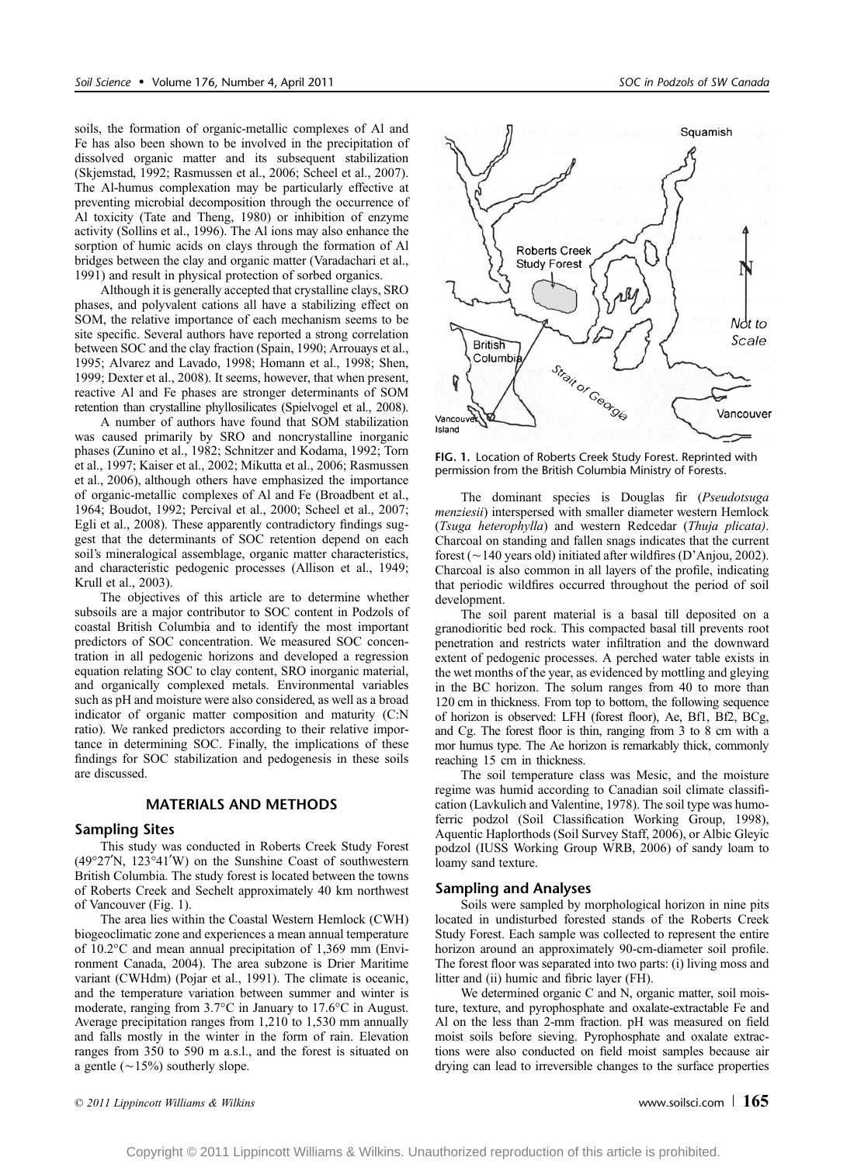soils, the formation of organic-metallic complexes of Al and Fe has also been shown to be involved in the precipitation of dissolved organic matter and its subsequent stabilization (Skjemstad, 1992; Rasmussen et al., 2006; Scheel et al., 2007). The Al-humus complexation may be particularly effective at preventing microbial decomposition through the occurrence of Al toxicity (Tate and Theng, 1980) or inhibition of enzyme activity (Sollins et al., 1996). The Al ions may also enhance the sorption of humic acids on clays through the formation of Al bridges between the clay and organic matter (Varadachari et al., 1991) and result in physical protection of sorbed organics.

Although it is generally accepted that crystalline clays, SRO phases, and polyvalent cations all have a stabilizing effect on SOM, the relative importance of each mechanism seems to be site specific. Several authors have reported a strong correlation between SOC and the clay fraction (Spain, 1990; Arrouays et al., 1995; Alvarez and Lavado, 1998; Homann et al., 1998; Shen, 1999; Dexter et al., 2008). It seems, however, that when present, reactive Al and Fe phases are stronger determinants of SOM retention than crystalline phyllosilicates (Spielvogel et al., 2008).

A number of authors have found that SOM stabilization was caused primarily by SRO and noncrystalline inorganic phases (Zunino et al., 1982; Schnitzer and Kodama, 1992; Torn et al., 1997; Kaiser et al., 2002; Mikutta et al., 2006; Rasmussen et al., 2006), although others have emphasized the importance of organic-metallic complexes of Al and Fe (Broadbent et al., 1964; Boudot, 1992; Percival et al., 2000; Scheel et al., 2007; Egli et al., 2008). These apparently contradictory findings suggest that the determinants of SOC retention depend on each soil's mineralogical assemblage, organic matter characteristics, and characteristic pedogenic processes (Allison et al., 1949; Krull et al., 2003).

The objectives of this article are to determine whether subsoils are a major contributor to SOC content in Podzols of coastal British Columbia and to identify the most important predictors of SOC concentration. We measured SOC concentration in all pedogenic horizons and developed a regression equation relating SOC to clay content, SRO inorganic material, and organically complexed metals. Environmental variables such as pH and moisture were also considered, as well as a broad indicator of organic matter composition and maturity (C:N ratio). We ranked predictors according to their relative importance in determining SOC. Finally, the implications of these findings for SOC stabilization and pedogenesis in these soils are discussed.

## MATERIALS AND METHODS

# Sampling Sites

This study was conducted in Roberts Creek Study Forest  $(49°27'N, 123°41'W)$  on the Sunshine Coast of southwestern British Columbia. The study forest is located between the towns of Roberts Creek and Sechelt approximately 40 km northwest of Vancouver (Fig. 1).

The area lies within the Coastal Western Hemlock (CWH) biogeoclimatic zone and experiences a mean annual temperature of  $10.2^{\circ}$ C and mean annual precipitation of 1,369 mm (Environment Canada, 2004). The area subzone is Drier Maritime variant (CWHdm) (Pojar et al., 1991). The climate is oceanic, and the temperature variation between summer and winter is moderate, ranging from  $3.7^{\circ}$ C in January to  $17.6^{\circ}$ C in August. Average precipitation ranges from 1,210 to 1,530 mm annually and falls mostly in the winter in the form of rain. Elevation ranges from 350 to 590 m a.s.l., and the forest is situated on a gentle  $(\sim15\%)$  southerly slope.



FIG. 1. Location of Roberts Creek Study Forest. Reprinted with permission from the British Columbia Ministry of Forests.

The dominant species is Douglas fir (Pseudotsuga menziesii) interspersed with smaller diameter western Hemlock (Tsuga heterophylla) and western Redcedar (Thuja plicata). Charcoal on standing and fallen snags indicates that the current forest ( $\sim$ 140 years old) initiated after wildfires (D'Anjou, 2002). Charcoal is also common in all layers of the profile, indicating that periodic wildfires occurred throughout the period of soil development.

The soil parent material is a basal till deposited on a granodioritic bed rock. This compacted basal till prevents root penetration and restricts water infiltration and the downward extent of pedogenic processes. A perched water table exists in the wet months of the year, as evidenced by mottling and gleying in the BC horizon. The solum ranges from 40 to more than 120 cm in thickness. From top to bottom, the following sequence of horizon is observed: LFH (forest floor), Ae, Bf1, Bf2, BCg, and Cg. The forest floor is thin, ranging from 3 to 8 cm with a mor humus type. The Ae horizon is remarkably thick, commonly reaching 15 cm in thickness.

The soil temperature class was Mesic, and the moisture regime was humid according to Canadian soil climate classification (Lavkulich and Valentine, 1978). The soil type was humoferric podzol (Soil Classification Working Group, 1998), Aquentic Haplorthods (Soil Survey Staff, 2006), or Albic Gleyic podzol (IUSS Working Group WRB, 2006) of sandy loam to loamy sand texture.

# Sampling and Analyses

Soils were sampled by morphological horizon in nine pits located in undisturbed forested stands of the Roberts Creek Study Forest. Each sample was collected to represent the entire horizon around an approximately 90-cm-diameter soil profile. The forest floor was separated into two parts: (i) living moss and litter and (ii) humic and fibric layer (FH).

We determined organic C and N, organic matter, soil moisture, texture, and pyrophosphate and oxalate-extractable Fe and Al on the less than 2-mm fraction. pH was measured on field moist soils before sieving. Pyrophosphate and oxalate extractions were also conducted on field moist samples because air drying can lead to irreversible changes to the surface properties

 $\degree$  2011 Lippincott Williams & Wilkins www.soilsci.com |  $165$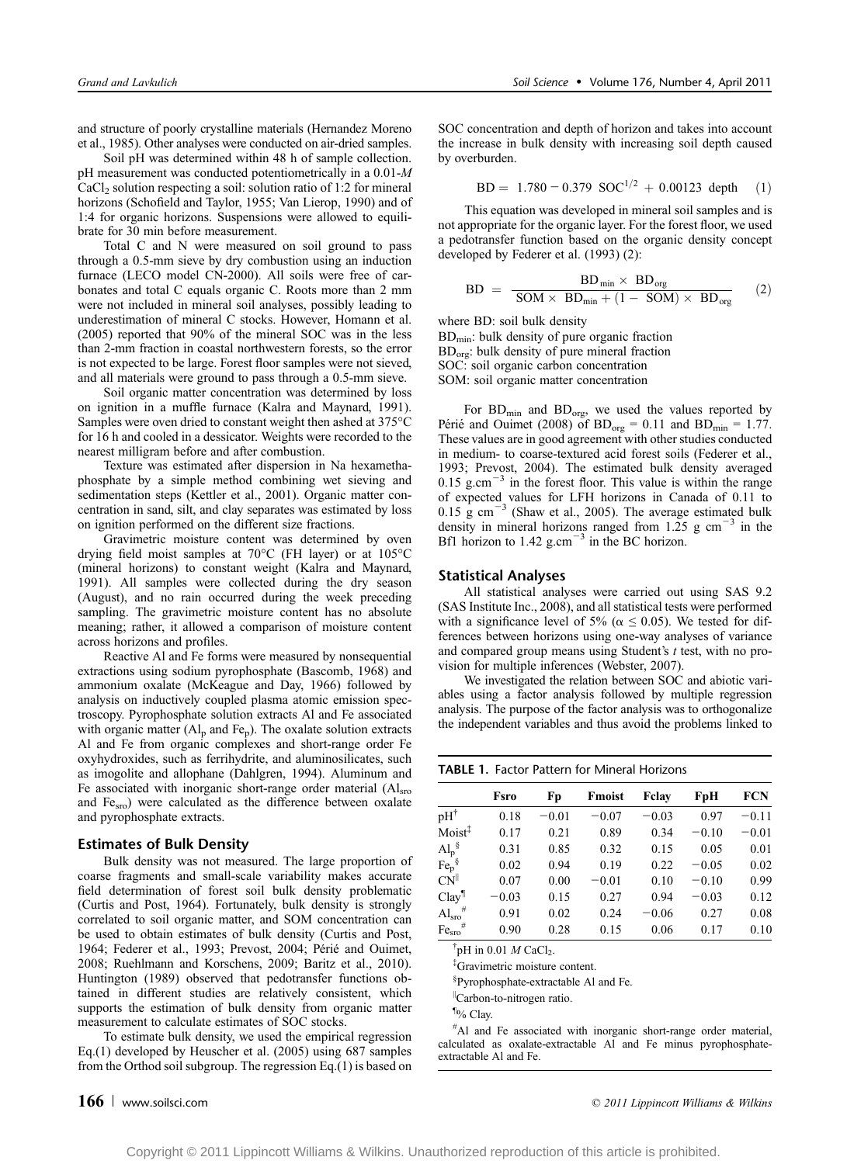and structure of poorly crystalline materials (Hernandez Moreno et al., 1985). Other analyses were conducted on air-dried samples.

Soil pH was determined within 48 h of sample collection. pH measurement was conducted potentiometrically in a 0.01-M  $CaCl<sub>2</sub>$  solution respecting a soil: solution ratio of 1:2 for mineral horizons (Schofield and Taylor, 1955; Van Lierop, 1990) and of 1:4 for organic horizons. Suspensions were allowed to equilibrate for 30 min before measurement.

Total C and N were measured on soil ground to pass through a 0.5-mm sieve by dry combustion using an induction furnace (LECO model CN-2000). All soils were free of carbonates and total C equals organic C. Roots more than 2 mm were not included in mineral soil analyses, possibly leading to underestimation of mineral C stocks. However, Homann et al. (2005) reported that 90% of the mineral SOC was in the less than 2-mm fraction in coastal northwestern forests, so the error is not expected to be large. Forest floor samples were not sieved, and all materials were ground to pass through a 0.5-mm sieve.

Soil organic matter concentration was determined by loss on ignition in a muffle furnace (Kalra and Maynard, 1991). Samples were oven dried to constant weight then ashed at 375°C for 16 h and cooled in a dessicator. Weights were recorded to the nearest milligram before and after combustion.

Texture was estimated after dispersion in Na hexamethaphosphate by a simple method combining wet sieving and sedimentation steps (Kettler et al., 2001). Organic matter concentration in sand, silt, and clay separates was estimated by loss on ignition performed on the different size fractions.

Gravimetric moisture content was determined by oven drying field moist samples at  $70^{\circ}$ C (FH layer) or at  $105^{\circ}$ C (mineral horizons) to constant weight (Kalra and Maynard, 1991). All samples were collected during the dry season (August), and no rain occurred during the week preceding sampling. The gravimetric moisture content has no absolute meaning; rather, it allowed a comparison of moisture content across horizons and profiles.

Reactive Al and Fe forms were measured by nonsequential extractions using sodium pyrophosphate (Bascomb, 1968) and ammonium oxalate (McKeague and Day, 1966) followed by analysis on inductively coupled plasma atomic emission spectroscopy. Pyrophosphate solution extracts Al and Fe associated with organic matter  $(Al_p \text{ and } Fe_p)$ . The oxalate solution extracts Al and Fe from organic complexes and short-range order Fe oxyhydroxides, such as ferrihydrite, and aluminosilicates, such as imogolite and allophane (Dahlgren, 1994). Aluminum and Fe associated with inorganic short-range order material  $(A)_{\text{sro}}$ and  $Fe<sub>sm</sub>$ ) were calculated as the difference between oxalate and pyrophosphate extracts.

# Estimates of Bulk Density

Bulk density was not measured. The large proportion of coarse fragments and small-scale variability makes accurate field determination of forest soil bulk density problematic (Curtis and Post, 1964). Fortunately, bulk density is strongly correlated to soil organic matter, and SOM concentration can be used to obtain estimates of bulk density (Curtis and Post, 1964; Federer et al., 1993; Prevost, 2004; Périé and Ouimet, 2008; Ruehlmann and Korschens, 2009; Baritz et al., 2010). Huntington (1989) observed that pedotransfer functions obtained in different studies are relatively consistent, which supports the estimation of bulk density from organic matter measurement to calculate estimates of SOC stocks.

To estimate bulk density, we used the empirical regression Eq.(1) developed by Heuscher et al. (2005) using 687 samples from the Orthod soil subgroup. The regression Eq.(1) is based on

SOC concentration and depth of horizon and takes into account the increase in bulk density with increasing soil depth caused by overburden.

$$
BD = 1.780 - 0.379 \, \text{SOC}^{1/2} + 0.00123 \, \text{depth} \quad (1)
$$

This equation was developed in mineral soil samples and is not appropriate for the organic layer. For the forest floor, we used a pedotransfer function based on the organic density concept developed by Federer et al. (1993) (2):

$$
BD = \frac{BD_{min} \times BD_{org}}{SOM \times BD_{min} + (1 - SOM) \times BD_{org}} \qquad (2)
$$

where BD: soil bulk density

BDmin: bulk density of pure organic fraction BD<sub>org</sub>: bulk density of pure mineral fraction SOC: soil organic carbon concentration SOM: soil organic matter concentration

For  $BD_{\text{min}}$  and  $BD_{\text{org}}$ , we used the values reported by Périé and Ouimet (2008) of  $BD_{org} = 0.11$  and  $BD_{min} = 1.77$ . These values are in good agreement with other studies conducted in medium- to coarse-textured acid forest soils (Federer et al., 1993; Prevost, 2004). The estimated bulk density averaged 0.15 g.cm $^{-3}$  in the forest floor. This value is within the range of expected values for LFH horizons in Canada of 0.11 to  $0.15 \text{ g cm}^{-3}$  (Shaw et al., 2005). The average estimated bulk density in mineral horizons ranged from  $1.25$  g cm<sup>-3</sup> in the Bf1 horizon to  $1.42$  g.cm<sup>-3</sup> in the BC horizon.

# Statistical Analyses

All statistical analyses were carried out using SAS 9.2 (SAS Institute Inc., 2008), and all statistical tests were performed with a significance level of 5% ( $\alpha \le 0.05$ ). We tested for differences between horizons using one-way analyses of variance and compared group means using Student's t test, with no provision for multiple inferences (Webster, 2007).

We investigated the relation between SOC and abiotic variables using a factor analysis followed by multiple regression analysis. The purpose of the factor analysis was to orthogonalize the independent variables and thus avoid the problems linked to

| <b>TABLE 1. Factor Pattern for Mineral Horizons</b> |         |         |         |         |         |         |
|-----------------------------------------------------|---------|---------|---------|---------|---------|---------|
|                                                     | Fsro    | Fp      | Fmoist  | Felav   | FpH     | FCN     |
| $pH^{\dagger}$                                      | 0.18    | $-0.01$ | $-0.07$ | $-0.03$ | 0.97    | $-0.11$ |
| Moist <sup>‡</sup>                                  | 0.17    | 0.21    | 0.89    | 0.34    | $-0.10$ | $-0.01$ |
| $\mathrm{Al}_{\mathrm{p}}^{\ \ \S}$                 | 0.31    | 0.85    | 0.32    | 0.15    | 0.05    | 0.01    |
| Fe <sub>p</sub> <sup>§</sup>                        | 0.02    | 0.94    | 0.19    | 0.22    | $-0.05$ | 0.02    |
| $CN^{\parallel}$                                    | 0.07    | 0.00    | $-0.01$ | 0.10    | $-0.10$ | 0.99    |
| Clay <sup>¶</sup>                                   | $-0.03$ | 0.15    | 0.27    | 0.94    | $-0.03$ | 0.12    |
| $Alsro$ #                                           | 0.91    | 0.02    | 0.24    | $-0.06$ | 0.27    | 0.08    |
| #<br>Fe <sub>sro</sub>                              | 0.90    | 0.28    | 0.15    | 0.06    | 0.17    | 0.10    |

 $\dagger$ pH in 0.01 M CaCl<sub>2</sub>.

‡ Gravimetric moisture content.

§ Pyrophosphate-extractable Al and Fe.

||Carbon-to-nitrogen ratio.

¶ % Clay.

# Al and Fe associated with inorganic short-range order material, calculated as oxalate-extractable Al and Fe minus pyrophosphateextractable Al and Fe.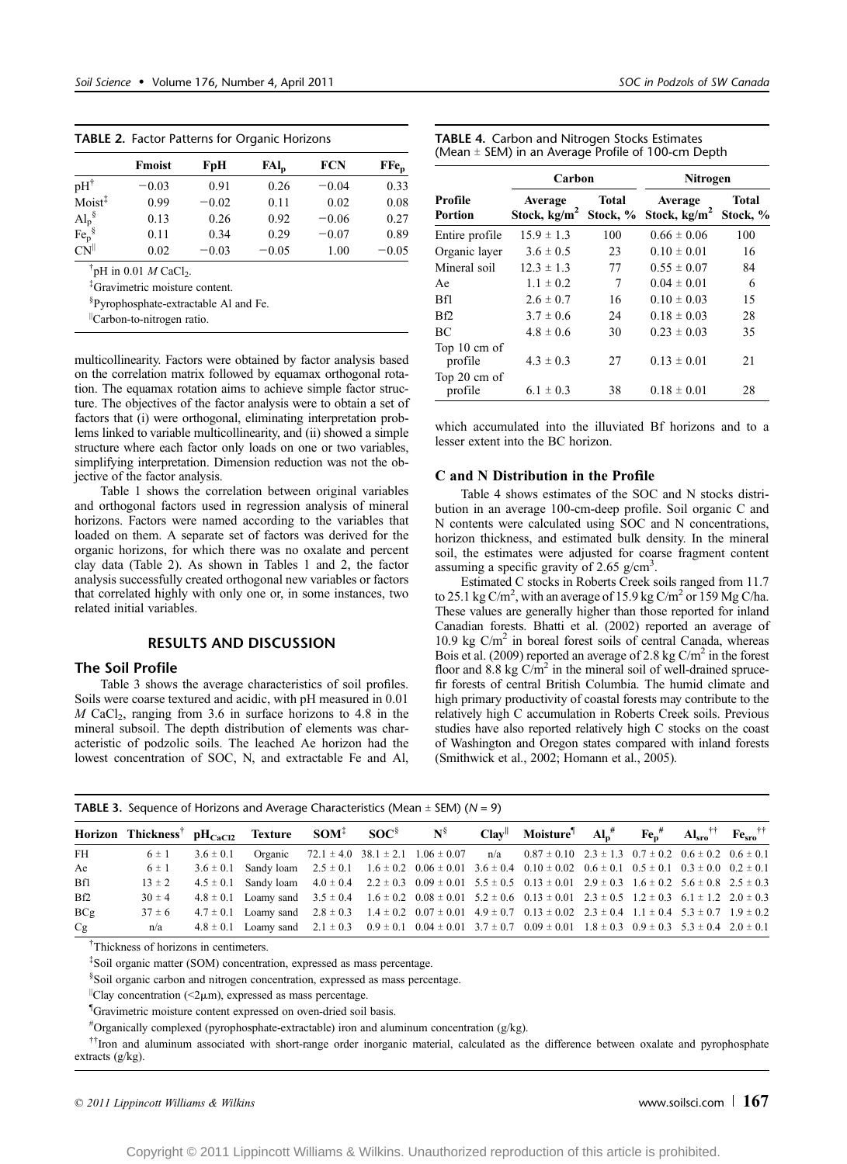TABLE 2. Factor Patterns for Organic Horizons

|                                                      | <b>Fmoist</b> | FpH     | $FAl_n$ | <b>FCN</b> | $\mathbf{F}$ $\mathbf{F}$ $\mathbf{e}_{\mathbf{p}}$ |  |
|------------------------------------------------------|---------------|---------|---------|------------|-----------------------------------------------------|--|
| $pH^{\dagger}$                                       | $-0.03$       | 0.91    | 0.26    | $-0.04$    | 0.33                                                |  |
| Moist <sup>‡</sup>                                   | 0.99          | $-0.02$ | 0.11    | 0.02       | 0.08                                                |  |
| $Al_p^{\S}$                                          | 0.13          | 0.26    | 0.92    | $-0.06$    | 0.27                                                |  |
| Fe <sub>p</sub> <sup>§</sup>                         | 0.11          | 0.34    | 0.29    | $-0.07$    | 0.89                                                |  |
| CN                                                   | 0.02          | $-0.03$ | $-0.05$ | 1.00       | $-0.05$                                             |  |
| <sup>†</sup> pH in 0.01 <i>M</i> CaCl <sub>2</sub> . |               |         |         |            |                                                     |  |

‡ Gravimetric moisture content.

§ Pyrophosphate-extractable Al and Fe.

||Carbon-to-nitrogen ratio.

multicollinearity. Factors were obtained by factor analysis based on the correlation matrix followed by equamax orthogonal rotation. The equamax rotation aims to achieve simple factor structure. The objectives of the factor analysis were to obtain a set of factors that (i) were orthogonal, eliminating interpretation problems linked to variable multicollinearity, and (ii) showed a simple structure where each factor only loads on one or two variables, simplifying interpretation. Dimension reduction was not the objective of the factor analysis.

Table 1 shows the correlation between original variables and orthogonal factors used in regression analysis of mineral horizons. Factors were named according to the variables that loaded on them. A separate set of factors was derived for the organic horizons, for which there was no oxalate and percent clay data (Table 2). As shown in Tables 1 and 2, the factor analysis successfully created orthogonal new variables or factors that correlated highly with only one or, in some instances, two related initial variables.

# RESULTS AND DISCUSSION

# The Soil Profile

Table 3 shows the average characteristics of soil profiles. Soils were coarse textured and acidic, with pH measured in 0.01  $M$  CaCl<sub>2</sub>, ranging from 3.6 in surface horizons to 4.8 in the mineral subsoil. The depth distribution of elements was characteristic of podzolic soils. The leached Ae horizon had the lowest concentration of SOC, N, and extractable Fe and Al,

| <b>TABLE 4.</b> Carbon and Nitrogen Stocks Estimates   |  |
|--------------------------------------------------------|--|
| (Mean $\pm$ SEM) in an Average Profile of 100-cm Depth |  |

|                         | Carbon                    |                   | Nitrogen                  |                   |  |
|-------------------------|---------------------------|-------------------|---------------------------|-------------------|--|
| Profile<br>Portion      | Average<br>Stock, $kg/m2$ | Total<br>Stock, % | Average<br>Stock, $kg/m2$ | Total<br>Stock, % |  |
| Entire profile          | $15.9 \pm 1.3$            | 100               | $0.66 \pm 0.06$           | 100               |  |
| Organic layer           | $3.6 \pm 0.5$             | 23                | $0.10 \pm 0.01$           | 16                |  |
| Mineral soil            | $12.3 \pm 1.3$            | 77                | $0.55 \pm 0.07$           | 84                |  |
| Ae                      | $1.1 \pm 0.2$             | 7                 | $0.04 \pm 0.01$           | 6                 |  |
| <b>Bfl</b>              | $2.6 \pm 0.7$             | 16                | $0.10 \pm 0.03$           | 15                |  |
| Bf <sub>2</sub>         | $3.7 \pm 0.6$             | 24                | $0.18 \pm 0.03$           | 28                |  |
| BC                      | $4.8 \pm 0.6$             | 30                | $0.23 \pm 0.03$           | 35                |  |
| Top 10 cm of<br>profile | $4.3 \pm 0.3$             | 27                | $0.13 \pm 0.01$           | 21                |  |
| Top 20 cm of<br>profile | $6.1 \pm 0.3$             | 38                | $0.18 \pm 0.01$           | 28                |  |

which accumulated into the illuviated Bf horizons and to a lesser extent into the BC horizon.

# C and N Distribution in the Profile

Table 4 shows estimates of the SOC and N stocks distribution in an average 100-cm-deep profile. Soil organic C and N contents were calculated using SOC and N concentrations, horizon thickness, and estimated bulk density. In the mineral soil, the estimates were adjusted for coarse fragment content assuming a specific gravity of 2.65  $g/cm^3$ .

Estimated C stocks in Roberts Creek soils ranged from 11.7 to 25.1 kg C/m<sup>2</sup>, with an average of 15.9 kg C/m<sup>2</sup> or 159 Mg C/ha. These values are generally higher than those reported for inland Canadian forests. Bhatti et al. (2002) reported an average of  $10.9 \text{ kg C/m}^2$  in boreal forest soils of central Canada, whereas Bois et al. (2009) reported an average of 2.8 kg  $C/m^2$  in the forest floor and 8.8 kg  $C/m^2$  in the mineral soil of well-drained sprucefir forests of central British Columbia. The humid climate and high primary productivity of coastal forests may contribute to the relatively high C accumulation in Roberts Creek soils. Previous studies have also reported relatively high C stocks on the coast of Washington and Oregon states compared with inland forests (Smithwick et al., 2002; Homann et al., 2005).

|            | Horizon Thickness <sup>†</sup> pH <sub>CaCl2</sub> Texture SOM <sup>‡</sup> SOC <sup>§</sup> N <sup>§</sup> Clay <sup>  </sup> Moisture <sup>1</sup> Al <sub>p</sub> <sup>#</sup> Fe <sub>p</sub> <sup>#</sup> Al <sub>sro</sub> <sup>††</sup> Fe <sub>sro</sub> <sup>††</sup> |               |                                                                                                                                                            |  |  |                                                                                                                                     |  |  |
|------------|--------------------------------------------------------------------------------------------------------------------------------------------------------------------------------------------------------------------------------------------------------------------------------|---------------|------------------------------------------------------------------------------------------------------------------------------------------------------------|--|--|-------------------------------------------------------------------------------------------------------------------------------------|--|--|
| FH         | $6 \pm 1$                                                                                                                                                                                                                                                                      | $3.6 \pm 0.1$ |                                                                                                                                                            |  |  | Organic $72.1 \pm 4.0$ $38.1 \pm 2.1$ $1.06 \pm 0.07$ $n/a$ $0.87 \pm 0.10$ $2.3 \pm 1.3$ $0.7 \pm 0.2$ $0.6 \pm 0.2$ $0.6 \pm 0.1$ |  |  |
| Ae         | $6 \pm 1$                                                                                                                                                                                                                                                                      |               | $3.6 \pm 0.1$ Sandy loam $2.5 \pm 0.1$ $1.6 \pm 0.2$ $0.06 \pm 0.01$ $3.6 \pm 0.4$ $0.10 \pm 0.02$ $0.6 \pm 0.1$ $0.5 \pm 0.1$ $0.3 \pm 0.0$ $0.2 \pm 0.1$ |  |  |                                                                                                                                     |  |  |
| Bf1        | $13 \pm 2$                                                                                                                                                                                                                                                                     |               | $4.5 \pm 0.1$ Sandy loam $4.0 \pm 0.4$ $2.2 \pm 0.3$ $0.09 \pm 0.01$ $5.5 \pm 0.5$ $0.13 \pm 0.01$ $2.9 \pm 0.3$ $1.6 \pm 0.2$ $5.6 \pm 0.8$ $2.5 \pm 0.3$ |  |  |                                                                                                                                     |  |  |
| Bf2        | $30 \pm 4$                                                                                                                                                                                                                                                                     |               | 4.8 ± 0.1 Loamy sand $3.5 \pm 0.4$ 1.6 $\pm 0.2$ 0.08 $\pm 0.01$ 5.2 $\pm 0.6$ 0.13 $\pm 0.01$ 2.3 $\pm 0.5$ 1.2 $\pm 0.3$ 6.1 $\pm 1.2$ 2.0 $\pm 0.3$     |  |  |                                                                                                                                     |  |  |
| <b>BCg</b> | $37 \pm 6$                                                                                                                                                                                                                                                                     |               | 4.7 ± 0.1 Loamy sand 2.8 ± 0.3 1.4 ± 0.2 0.07 ± 0.01 4.9 ± 0.7 0.13 ± 0.02 2.3 ± 0.4 1.1 ± 0.4 5.3 ± 0.7 1.9 ± 0.2                                         |  |  |                                                                                                                                     |  |  |
| Cg         | n/a                                                                                                                                                                                                                                                                            |               | 4.8 ± 0.1 Loamy sand 2.1 ± 0.3 0.9 ± 0.1 0.04 ± 0.01 3.7 ± 0.7 0.09 ± 0.01 1.8 ± 0.3 0.9 ± 0.3 5.3 ± 0.4 2.0 ± 0.1                                         |  |  |                                                                                                                                     |  |  |

**TABLE 3.** Sequence of Horizons and Average Characteristics (Mean  $\pm$  SEM) (N = 9)

† Thickness of horizons in centimeters.

‡ Soil organic matter (SOM) concentration, expressed as mass percentage.

§ Soil organic carbon and nitrogen concentration, expressed as mass percentage.

 $\vert$ Clay concentration (<2 $\mu$ m), expressed as mass percentage.

¶ Gravimetric moisture content expressed on oven-dried soil basis.

# Organically complexed (pyrophosphate-extractable) iron and aluminum concentration (g/kg).

††Iron and aluminum associated with short-range order inorganic material, calculated as the difference between oxalate and pyrophosphate extracts (g/kg).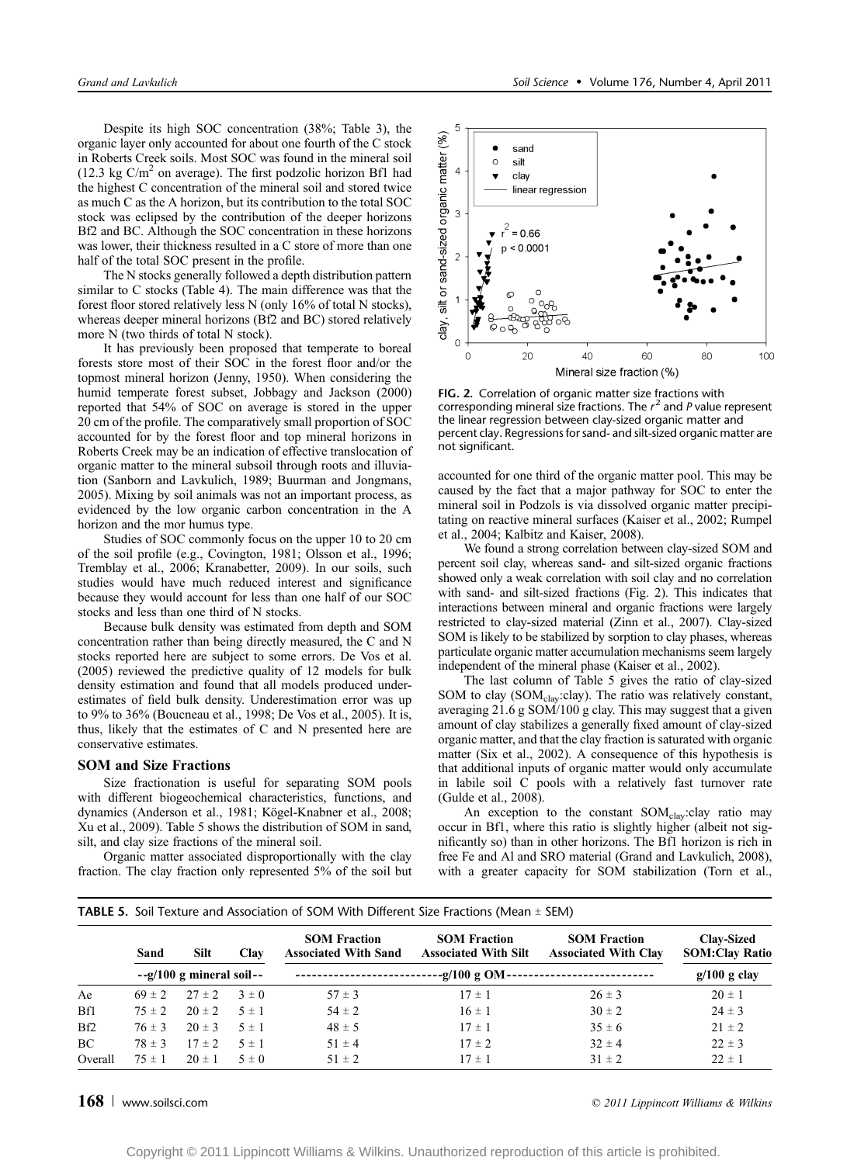Despite its high SOC concentration (38%; Table 3), the organic layer only accounted for about one fourth of the C stock in Roberts Creek soils. Most SOC was found in the mineral soil  $(12.3 \text{ kg C/m}^2)$  on average). The first podzolic horizon Bf1 had the highest C concentration of the mineral soil and stored twice as much C as the A horizon, but its contribution to the total SOC stock was eclipsed by the contribution of the deeper horizons Bf2 and BC. Although the SOC concentration in these horizons was lower, their thickness resulted in a C store of more than one half of the total SOC present in the profile.

The N stocks generally followed a depth distribution pattern similar to C stocks (Table 4). The main difference was that the forest floor stored relatively less N (only 16% of total N stocks), whereas deeper mineral horizons (Bf2 and BC) stored relatively more N (two thirds of total N stock).

It has previously been proposed that temperate to boreal forests store most of their SOC in the forest floor and/or the topmost mineral horizon (Jenny, 1950). When considering the humid temperate forest subset, Jobbagy and Jackson (2000) reported that 54% of SOC on average is stored in the upper 20 cm of the profile. The comparatively small proportion of SOC accounted for by the forest floor and top mineral horizons in Roberts Creek may be an indication of effective translocation of organic matter to the mineral subsoil through roots and illuviation (Sanborn and Lavkulich, 1989; Buurman and Jongmans, 2005). Mixing by soil animals was not an important process, as evidenced by the low organic carbon concentration in the A horizon and the mor humus type.

Studies of SOC commonly focus on the upper 10 to 20 cm of the soil profile (e.g., Covington, 1981; Olsson et al., 1996; Tremblay et al., 2006; Kranabetter, 2009). In our soils, such studies would have much reduced interest and significance because they would account for less than one half of our SOC stocks and less than one third of N stocks.

Because bulk density was estimated from depth and SOM concentration rather than being directly measured, the C and N stocks reported here are subject to some errors. De Vos et al. (2005) reviewed the predictive quality of 12 models for bulk density estimation and found that all models produced underestimates of field bulk density. Underestimation error was up to 9% to 36% (Boucneau et al., 1998; De Vos et al., 2005). It is, thus, likely that the estimates of C and N presented here are conservative estimates.

### SOM and Size Fractions

Size fractionation is useful for separating SOM pools with different biogeochemical characteristics, functions, and dynamics (Anderson et al., 1981; Kögel-Knabner et al., 2008; Xu et al., 2009). Table 5 shows the distribution of SOM in sand, silt, and clay size fractions of the mineral soil.

Organic matter associated disproportionally with the clay fraction. The clay fraction only represented 5% of the soil but



FIG. 2. Correlation of organic matter size fractions with corresponding mineral size fractions. The  $r^2$  and P value represent the linear regression between clay-sized organic matter and percent clay. Regressions for sand- and silt-sized organic matter are not significant.

accounted for one third of the organic matter pool. This may be caused by the fact that a major pathway for SOC to enter the mineral soil in Podzols is via dissolved organic matter precipitating on reactive mineral surfaces (Kaiser et al., 2002; Rumpel et al., 2004; Kalbitz and Kaiser, 2008).

We found a strong correlation between clay-sized SOM and percent soil clay, whereas sand- and silt-sized organic fractions showed only a weak correlation with soil clay and no correlation with sand- and silt-sized fractions (Fig. 2). This indicates that interactions between mineral and organic fractions were largely restricted to clay-sized material (Zinn et al., 2007). Clay-sized SOM is likely to be stabilized by sorption to clay phases, whereas particulate organic matter accumulation mechanisms seem largely independent of the mineral phase (Kaiser et al., 2002).

The last column of Table 5 gives the ratio of clay-sized SOM to clay (SOM<sub>clay</sub>:clay). The ratio was relatively constant, averaging 21.6 g SOM/100 g clay. This may suggest that a given amount of clay stabilizes a generally fixed amount of clay-sized organic matter, and that the clay fraction is saturated with organic matter (Six et al., 2002). A consequence of this hypothesis is that additional inputs of organic matter would only accumulate in labile soil C pools with a relatively fast turnover rate (Gulde et al., 2008).

An exception to the constant  $SOM_{\text{clay}}$ :clay ratio may occur in Bf1, where this ratio is slightly higher (albeit not significantly so) than in other horizons. The Bf1 horizon is rich in free Fe and Al and SRO material (Grand and Lavkulich, 2008), with a greater capacity for SOM stabilization (Torn et al.,

| <b>TABLE 5.</b> Soil Texture and Association of SOM With Different Size Fractions (Mean $\pm$ SEM) |            |           |                                                    |                                                    |                                                    |                                            |  |  |
|----------------------------------------------------------------------------------------------------|------------|-----------|----------------------------------------------------|----------------------------------------------------|----------------------------------------------------|--------------------------------------------|--|--|
| Sand                                                                                               | Silt       | Clay      | <b>SOM Fraction</b><br><b>Associated With Sand</b> | <b>SOM Fraction</b><br><b>Associated With Silt</b> | <b>SOM Fraction</b><br><b>Associated With Clay</b> | <b>Clay-Sized</b><br><b>SOM:Clay Ratio</b> |  |  |
|                                                                                                    |            |           |                                                    | $-g/100 g$ OM -                                    |                                                    | $g/100$ g clay                             |  |  |
| $69 \pm 2$                                                                                         | $27 \pm 2$ | $3 \pm 0$ | $57 \pm 3$                                         | $17 \pm 1$                                         | $26 \pm 3$                                         | $20 \pm 1$                                 |  |  |
| $75 \pm 2$                                                                                         | $20 \pm 2$ | $5 \pm 1$ | $54 \pm 2$                                         | $16 \pm 1$                                         | $30 \pm 2$                                         | $24 \pm 3$                                 |  |  |
| $76 \pm 3$                                                                                         | $20 \pm 3$ | $5 \pm 1$ | $48 \pm 5$                                         | $17 \pm 1$                                         | $35 \pm 6$                                         | $21 \pm 2$                                 |  |  |
| $78 \pm 3$                                                                                         | $17 \pm 2$ | $5 \pm 1$ | $51 \pm 4$                                         | $17 \pm 2$                                         | $32 \pm 4$                                         | $22 \pm 3$                                 |  |  |
| $75 \pm 1$                                                                                         | $20 \pm 1$ | $5 \pm 0$ | $51 \pm 2$                                         | $17 \pm 1$                                         | $31 \pm 2$                                         | $22 \pm 1$                                 |  |  |
|                                                                                                    |            |           | $-e/100$ g mineral soil-                           |                                                    |                                                    |                                            |  |  |

# ${\bf 168} \perp$  www.soilsci.com  $\hskip 1.6cm$  2011 Lippincott Williams & Wilkins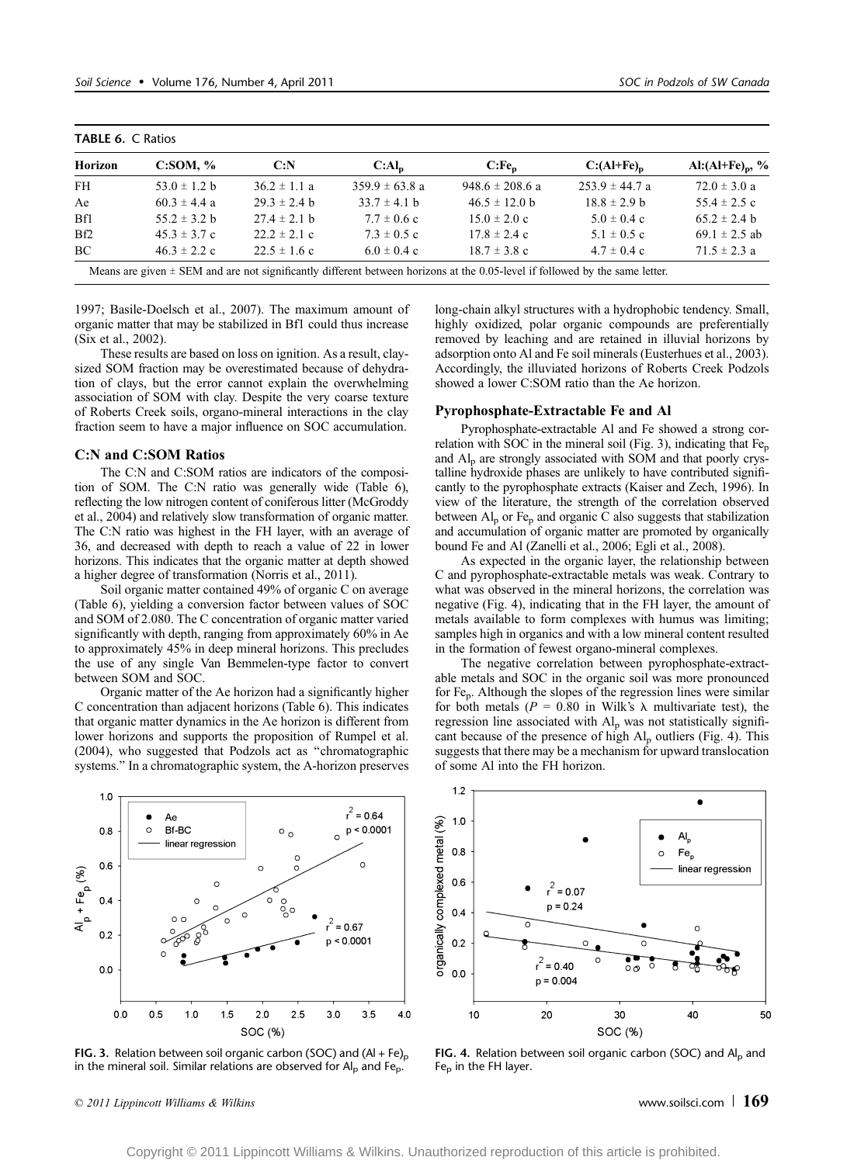| Horizon | C: SOM, %        | C: N             | $C:Al_n$           | $C:Fe_n$            | $C:(Al+Fe)n$       | Al: $(AI + Fe)$ <sub>p</sub> , % |
|---------|------------------|------------------|--------------------|---------------------|--------------------|----------------------------------|
| FH      | 53.0 $\pm$ 1.2 b | $36.2 \pm 1.1$ a | $359.9 \pm 63.8$ a | $948.6 \pm 208.6$ a | $253.9 \pm 44.7$ a | $72.0 \pm 3.0 a$                 |
| Ae      | $60.3 \pm 4.4$ a | $29.3 \pm 2.4$ b | $33.7 \pm 4.1$ b   | $46.5 \pm 12.0$ b   | $18.8 \pm 2.9$ b   | $55.4 \pm 2.5$ c                 |
| Bf1     | $55.2 \pm 3.2$ b | $27.4 \pm 2.1$ b | $7.7 \pm 0.6$ c    | $15.0 \pm 2.0 c$    | $5.0 \pm 0.4$ c    | $65.2 \pm 2.4$ b                 |
| Bf2     | $45.3 \pm 3.7$ c | $22.2 \pm 2.1$ c | $7.3 \pm 0.5$ c    | $17.8 \pm 2.4$ c    | $5.1 \pm 0.5$ c    | 69.1 $\pm$ 2.5 ab                |
| BC      | $46.3 \pm 2.2$ c | $22.5 \pm 1.6$ c | $6.0 \pm 0.4$ c    | $18.7 \pm 3.8$ c    | $4.7 \pm 0.4$ c    | $71.5 \pm 2.3$ a                 |

1997; Basile-Doelsch et al., 2007). The maximum amount of organic matter that may be stabilized in Bf1 could thus increase (Six et al., 2002).

These results are based on loss on ignition. As a result, claysized SOM fraction may be overestimated because of dehydration of clays, but the error cannot explain the overwhelming association of SOM with clay. Despite the very coarse texture of Roberts Creek soils, organo-mineral interactions in the clay fraction seem to have a major influence on SOC accumulation.

# C:N and C:SOM Ratios

TABLE 6. C Ratios

The C:N and C:SOM ratios are indicators of the composition of SOM. The C:N ratio was generally wide (Table 6), reflecting the low nitrogen content of coniferous litter (McGroddy et al., 2004) and relatively slow transformation of organic matter. The C:N ratio was highest in the FH layer, with an average of 36, and decreased with depth to reach a value of 22 in lower horizons. This indicates that the organic matter at depth showed a higher degree of transformation (Norris et al., 2011).

Soil organic matter contained 49% of organic C on average (Table 6), yielding a conversion factor between values of SOC and SOM of 2.080. The C concentration of organic matter varied significantly with depth, ranging from approximately 60% in Ae to approximately 45% in deep mineral horizons. This precludes the use of any single Van Bemmelen-type factor to convert between SOM and SOC.

Organic matter of the Ae horizon had a significantly higher C concentration than adjacent horizons (Table 6). This indicates that organic matter dynamics in the Ae horizon is different from lower horizons and supports the proposition of Rumpel et al. (2004), who suggested that Podzols act as ''chromatographic systems.'' In a chromatographic system, the A-horizon preserves

 $1.0$  $r^2$  = 0.64 Ae  $p < 0.0001$  $0.8$  $\circ$ Bf-BC  $\circ$   $\circ$ linear regression  $0.6$  $A<sub>b</sub>$  + Fe<sub>p</sub> (%)  $0.4$  $= 0.67$  $0.2$  $p < 0.0001$  $0.0$  $0.0$  $0.5$  $1.0$  $1.5$  $2.0$  $2.5$  $3.0$  $3.5$ 4.0 SOC (%)

FIG. 3. Relation between soil organic carbon (SOC) and  $(Al + Fe)_{p}$ in the mineral soil. Similar relations are observed for  $Al<sub>p</sub>$  and Fe<sub>p</sub>.

 $\degree$  2011 Lippincott Williams & Wilkins www.soilsci.com | 169

long-chain alkyl structures with a hydrophobic tendency. Small, highly oxidized, polar organic compounds are preferentially removed by leaching and are retained in illuvial horizons by adsorption onto Al and Fe soil minerals (Eusterhues et al., 2003). Accordingly, the illuviated horizons of Roberts Creek Podzols showed a lower C:SOM ratio than the Ae horizon.

### Pyrophosphate-Extractable Fe and Al

Pyrophosphate-extractable Al and Fe showed a strong correlation with SOC in the mineral soil (Fig. 3), indicating that Fe<sub>p</sub> and Alp are strongly associated with SOM and that poorly crystalline hydroxide phases are unlikely to have contributed significantly to the pyrophosphate extracts (Kaiser and Zech, 1996). In view of the literature, the strength of the correlation observed between  $Al_p$  or Fe<sub>p</sub> and organic C also suggests that stabilization and accumulation of organic matter are promoted by organically bound Fe and Al (Zanelli et al., 2006; Egli et al., 2008).

As expected in the organic layer, the relationship between C and pyrophosphate-extractable metals was weak. Contrary to what was observed in the mineral horizons, the correlation was negative (Fig. 4), indicating that in the FH layer, the amount of metals available to form complexes with humus was limiting; samples high in organics and with a low mineral content resulted in the formation of fewest organo-mineral complexes.

The negative correlation between pyrophosphate-extractable metals and SOC in the organic soil was more pronounced for Fep. Although the slopes of the regression lines were similar for both metals ( $P = 0.80$  in Wilk's  $\lambda$  multivariate test), the regression line associated with Alp was not statistically significant because of the presence of high  $Al_p$  outliers (Fig. 4). This suggests that there may be a mechanism for upward translocation of some Al into the FH horizon.



FIG. 4. Relation between soil organic carbon (SOC) and  $Al<sub>p</sub>$  and Fe $_{\rm p}$  in the FH layer.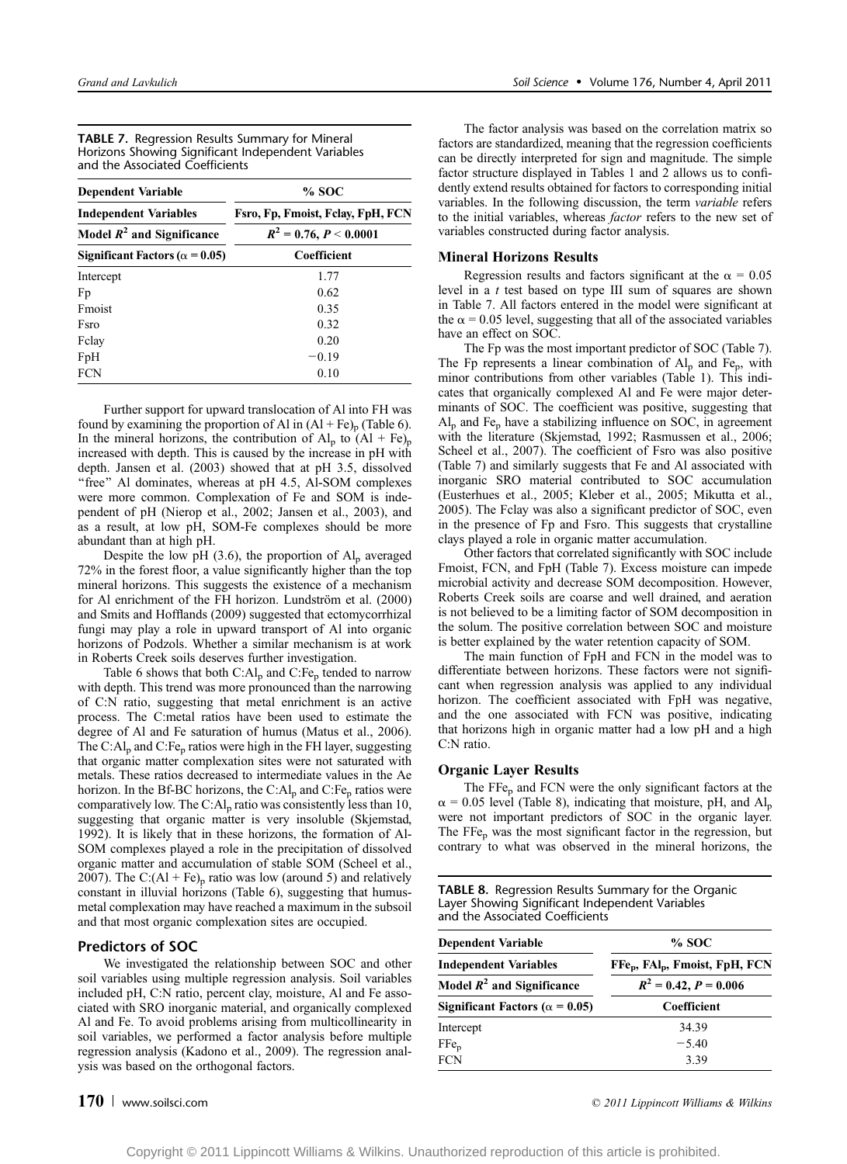| <b>TABLE 7.</b> Regression Results Summary for Mineral |
|--------------------------------------------------------|
| Horizons Showing Significant Independent Variables     |
| and the Associated Coefficients                        |

| <b>Dependent Variable</b>              | % SOC                                                           |  |  |  |
|----------------------------------------|-----------------------------------------------------------------|--|--|--|
| <b>Independent Variables</b>           | Fsro, Fp, Fmoist, Fclay, FpH, FCN<br>$R^2 = 0.76, P \le 0.0001$ |  |  |  |
| Model $R^2$ and Significance           |                                                                 |  |  |  |
| Significant Factors ( $\alpha$ = 0.05) | Coefficient                                                     |  |  |  |
| Intercept                              | 1.77                                                            |  |  |  |
| Fp                                     | 0.62                                                            |  |  |  |
| Fmoist                                 | 0.35                                                            |  |  |  |
| <b>Fsro</b>                            | 0.32                                                            |  |  |  |
| Felay                                  | 0.20                                                            |  |  |  |
| FpH                                    | $-0.19$                                                         |  |  |  |
| <b>FCN</b>                             | 0.10                                                            |  |  |  |

Further support for upward translocation of Al into FH was found by examining the proportion of Al in  $(Al + Fe)_{p}$  (Table 6). In the mineral horizons, the contribution of  $Al_n$  to  $(Al + Fe)_n$ increased with depth. This is caused by the increase in pH with depth. Jansen et al. (2003) showed that at pH 3.5, dissolved "free" Al dominates, whereas at pH 4.5, Al-SOM complexes were more common. Complexation of Fe and SOM is independent of pH (Nierop et al., 2002; Jansen et al., 2003), and as a result, at low pH, SOM-Fe complexes should be more abundant than at high pH.

Despite the low pH (3.6), the proportion of  $Al_p$  averaged 72% in the forest floor, a value significantly higher than the top mineral horizons. This suggests the existence of a mechanism for Al enrichment of the FH horizon. Lundström et al. (2000) and Smits and Hofflands (2009) suggested that ectomycorrhizal fungi may play a role in upward transport of Al into organic horizons of Podzols. Whether a similar mechanism is at work in Roberts Creek soils deserves further investigation.

Table 6 shows that both  $C:A<sub>n</sub>$  and  $C:Fe<sub>n</sub>$  tended to narrow with depth. This trend was more pronounced than the narrowing of C:N ratio, suggesting that metal enrichment is an active process. The C:metal ratios have been used to estimate the degree of Al and Fe saturation of humus (Matus et al., 2006). The C: $Al<sub>p</sub>$  and C:Fe<sub>p</sub> ratios were high in the FH layer, suggesting that organic matter complexation sites were not saturated with metals. These ratios decreased to intermediate values in the Ae horizon. In the Bf-BC horizons, the C: $Al_p$  and C:Fe<sub>p</sub> ratios were comparatively low. The C: $Al<sub>p</sub>$  ratio was consistently less than 10, suggesting that organic matter is very insoluble (Skjemstad, 1992). It is likely that in these horizons, the formation of Al-SOM complexes played a role in the precipitation of dissolved organic matter and accumulation of stable SOM (Scheel et al., 2007). The C: $(Al + Fe)$ <sub>p</sub> ratio was low (around 5) and relatively constant in illuvial horizons (Table 6), suggesting that humusmetal complexation may have reached a maximum in the subsoil and that most organic complexation sites are occupied.

# Predictors of SOC

We investigated the relationship between SOC and other soil variables using multiple regression analysis. Soil variables included pH, C:N ratio, percent clay, moisture, Al and Fe associated with SRO inorganic material, and organically complexed Al and Fe. To avoid problems arising from multicollinearity in soil variables, we performed a factor analysis before multiple regression analysis (Kadono et al., 2009). The regression analysis was based on the orthogonal factors.

The factor analysis was based on the correlation matrix so factors are standardized, meaning that the regression coefficients can be directly interpreted for sign and magnitude. The simple factor structure displayed in Tables 1 and 2 allows us to confidently extend results obtained for factors to corresponding initial variables. In the following discussion, the term variable refers to the initial variables, whereas factor refers to the new set of variables constructed during factor analysis.

### Mineral Horizons Results

Regression results and factors significant at the  $\alpha = 0.05$ level in a t test based on type III sum of squares are shown in Table 7. All factors entered in the model were significant at the  $\alpha$  = 0.05 level, suggesting that all of the associated variables have an effect on SOC.

The Fp was the most important predictor of SOC (Table 7). The Fp represents a linear combination of  $Al_n$  and Fe<sub>p</sub>, with minor contributions from other variables (Table 1). This indicates that organically complexed Al and Fe were major determinants of SOC. The coefficient was positive, suggesting that  $Al_p$  and Fe<sub>p</sub> have a stabilizing influence on SOC, in agreement with the literature (Skjemstad, 1992; Rasmussen et al., 2006; Scheel et al., 2007). The coefficient of Fsro was also positive (Table 7) and similarly suggests that Fe and Al associated with inorganic SRO material contributed to SOC accumulation (Eusterhues et al., 2005; Kleber et al., 2005; Mikutta et al., 2005). The Fclay was also a significant predictor of SOC, even in the presence of Fp and Fsro. This suggests that crystalline clays played a role in organic matter accumulation.

Other factors that correlated significantly with SOC include Fmoist, FCN, and FpH (Table 7). Excess moisture can impede microbial activity and decrease SOM decomposition. However, Roberts Creek soils are coarse and well drained, and aeration is not believed to be a limiting factor of SOM decomposition in the solum. The positive correlation between SOC and moisture is better explained by the water retention capacity of SOM.

The main function of FpH and FCN in the model was to differentiate between horizons. These factors were not significant when regression analysis was applied to any individual horizon. The coefficient associated with FpH was negative, and the one associated with FCN was positive, indicating that horizons high in organic matter had a low pH and a high C:N ratio.

# Organic Layer Results

The FFe<sub>p</sub> and FCN were the only significant factors at the  $\alpha$  = 0.05 level (Table 8), indicating that moisture, pH, and Al<sub>p</sub> were not important predictors of SOC in the organic layer. The FFe<sub>p</sub> was the most significant factor in the regression, but contrary to what was observed in the mineral horizons, the

| <b>TABLE 8.</b> Regression Results Summary for the Organic |
|------------------------------------------------------------|
| Layer Showing Significant Independent Variables            |
| and the Associated Coefficients                            |

| <b>Dependent Variable</b>               | $%$ SOC                                                                                          |  |  |
|-----------------------------------------|--------------------------------------------------------------------------------------------------|--|--|
| <b>Independent Variables</b>            | FFe <sub>n</sub> , FAI <sub>n</sub> , Fmoist, FpH, FCN<br>$R^2 = 0.42, P = 0.006$<br>Coefficient |  |  |
| Model $R^2$ and Significance            |                                                                                                  |  |  |
| Significant Factors ( $\alpha = 0.05$ ) |                                                                                                  |  |  |
| Intercept                               | 34.39                                                                                            |  |  |
| $\rm{FFe}_p$                            | $-5.40$                                                                                          |  |  |
| <b>FCN</b>                              | 3.39                                                                                             |  |  |

# $170$  | www.soilsci.com  $\degree$  2011 Lippincott Williams & Wilkins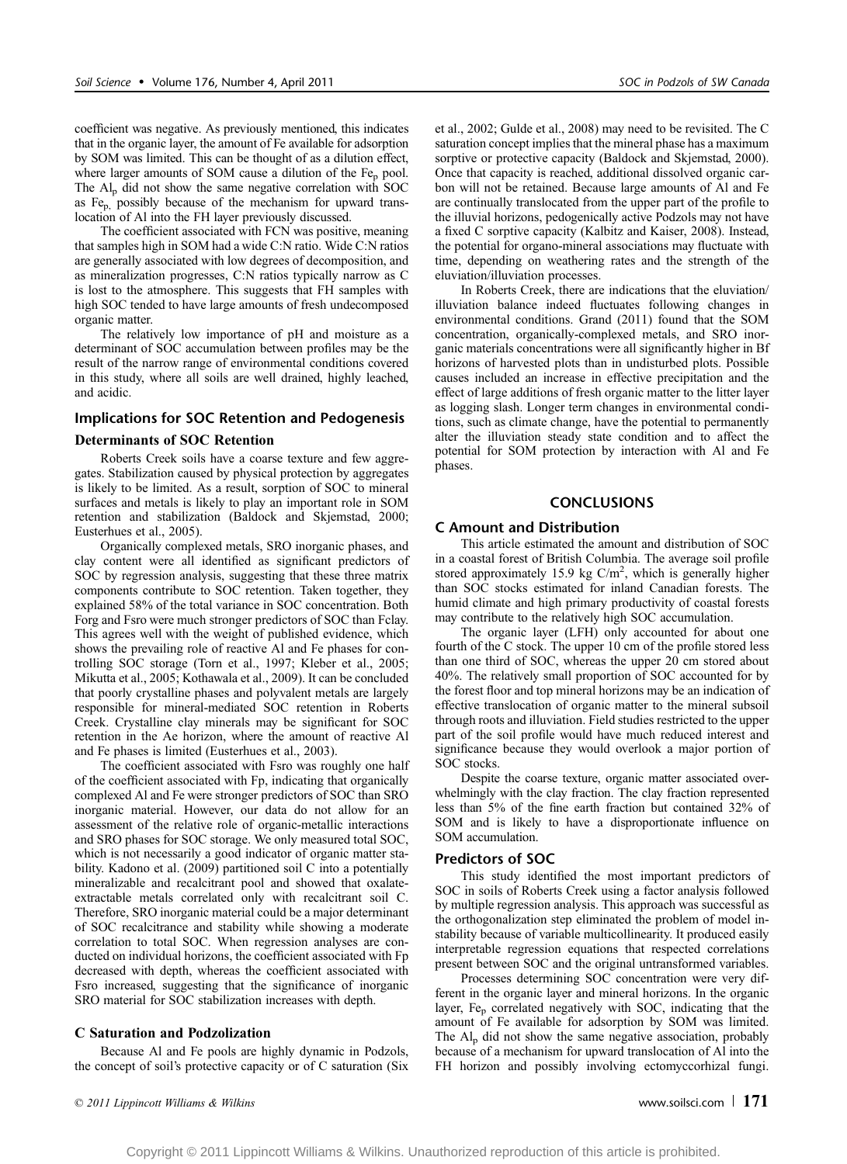coefficient was negative. As previously mentioned, this indicates that in the organic layer, the amount of Fe available for adsorption by SOM was limited. This can be thought of as a dilution effect, where larger amounts of SOM cause a dilution of the  $Fe<sub>p</sub>$  pool. The  $Al<sub>p</sub>$  did not show the same negative correlation with SOC as Fep, possibly because of the mechanism for upward translocation of Al into the FH layer previously discussed.

The coefficient associated with FCN was positive, meaning that samples high in SOM had a wide C:N ratio. Wide C:N ratios are generally associated with low degrees of decomposition, and as mineralization progresses, C:N ratios typically narrow as C is lost to the atmosphere. This suggests that FH samples with high SOC tended to have large amounts of fresh undecomposed organic matter.

The relatively low importance of pH and moisture as a determinant of SOC accumulation between profiles may be the result of the narrow range of environmental conditions covered in this study, where all soils are well drained, highly leached, and acidic.

# Implications for SOC Retention and Pedogenesis

# Determinants of SOC Retention

Roberts Creek soils have a coarse texture and few aggregates. Stabilization caused by physical protection by aggregates is likely to be limited. As a result, sorption of SOC to mineral surfaces and metals is likely to play an important role in SOM retention and stabilization (Baldock and Skjemstad, 2000; Eusterhues et al., 2005).

Organically complexed metals, SRO inorganic phases, and clay content were all identified as significant predictors of SOC by regression analysis, suggesting that these three matrix components contribute to SOC retention. Taken together, they explained 58% of the total variance in SOC concentration. Both Forg and Fsro were much stronger predictors of SOC than Fclay. This agrees well with the weight of published evidence, which shows the prevailing role of reactive Al and Fe phases for controlling SOC storage (Torn et al., 1997; Kleber et al., 2005; Mikutta et al., 2005; Kothawala et al., 2009). It can be concluded that poorly crystalline phases and polyvalent metals are largely responsible for mineral-mediated SOC retention in Roberts Creek. Crystalline clay minerals may be significant for SOC retention in the Ae horizon, where the amount of reactive Al and Fe phases is limited (Eusterhues et al., 2003).

The coefficient associated with Fsro was roughly one half of the coefficient associated with Fp, indicating that organically complexed Al and Fe were stronger predictors of SOC than SRO inorganic material. However, our data do not allow for an assessment of the relative role of organic-metallic interactions and SRO phases for SOC storage. We only measured total SOC, which is not necessarily a good indicator of organic matter stability. Kadono et al. (2009) partitioned soil C into a potentially mineralizable and recalcitrant pool and showed that oxalateextractable metals correlated only with recalcitrant soil C. Therefore, SRO inorganic material could be a major determinant of SOC recalcitrance and stability while showing a moderate correlation to total SOC. When regression analyses are conducted on individual horizons, the coefficient associated with Fp decreased with depth, whereas the coefficient associated with Fsro increased, suggesting that the significance of inorganic SRO material for SOC stabilization increases with depth.

# C Saturation and Podzolization

Because Al and Fe pools are highly dynamic in Podzols, the concept of soil's protective capacity or of C saturation (Six et al., 2002; Gulde et al., 2008) may need to be revisited. The C saturation concept implies that the mineral phase has a maximum sorptive or protective capacity (Baldock and Skjemstad, 2000). Once that capacity is reached, additional dissolved organic carbon will not be retained. Because large amounts of Al and Fe are continually translocated from the upper part of the profile to the illuvial horizons, pedogenically active Podzols may not have a fixed C sorptive capacity (Kalbitz and Kaiser, 2008). Instead, the potential for organo-mineral associations may fluctuate with time, depending on weathering rates and the strength of the eluviation/illuviation processes.

In Roberts Creek, there are indications that the eluviation/ illuviation balance indeed fluctuates following changes in environmental conditions. Grand (2011) found that the SOM concentration, organically-complexed metals, and SRO inorganic materials concentrations were all significantly higher in Bf horizons of harvested plots than in undisturbed plots. Possible causes included an increase in effective precipitation and the effect of large additions of fresh organic matter to the litter layer as logging slash. Longer term changes in environmental conditions, such as climate change, have the potential to permanently alter the illuviation steady state condition and to affect the potential for SOM protection by interaction with Al and Fe phases.

# **CONCLUSIONS**

# C Amount and Distribution

This article estimated the amount and distribution of SOC in a coastal forest of British Columbia. The average soil profile stored approximately 15.9 kg  $C/m^2$ , which is generally higher than SOC stocks estimated for inland Canadian forests. The humid climate and high primary productivity of coastal forests may contribute to the relatively high SOC accumulation.

The organic layer (LFH) only accounted for about one fourth of the C stock. The upper 10 cm of the profile stored less than one third of SOC, whereas the upper 20 cm stored about 40%. The relatively small proportion of SOC accounted for by the forest floor and top mineral horizons may be an indication of effective translocation of organic matter to the mineral subsoil through roots and illuviation. Field studies restricted to the upper part of the soil profile would have much reduced interest and significance because they would overlook a major portion of SOC stocks.

Despite the coarse texture, organic matter associated overwhelmingly with the clay fraction. The clay fraction represented less than 5% of the fine earth fraction but contained 32% of SOM and is likely to have a disproportionate influence on SOM accumulation.

# Predictors of SOC

This study identified the most important predictors of SOC in soils of Roberts Creek using a factor analysis followed by multiple regression analysis. This approach was successful as the orthogonalization step eliminated the problem of model instability because of variable multicollinearity. It produced easily interpretable regression equations that respected correlations present between SOC and the original untransformed variables.

Processes determining SOC concentration were very different in the organic layer and mineral horizons. In the organic layer,  $Fe<sub>p</sub>$  correlated negatively with SOC, indicating that the amount of Fe available for adsorption by SOM was limited. The  $Al_n$  did not show the same negative association, probably because of a mechanism for upward translocation of Al into the FH horizon and possibly involving ectomyccorhizal fungi.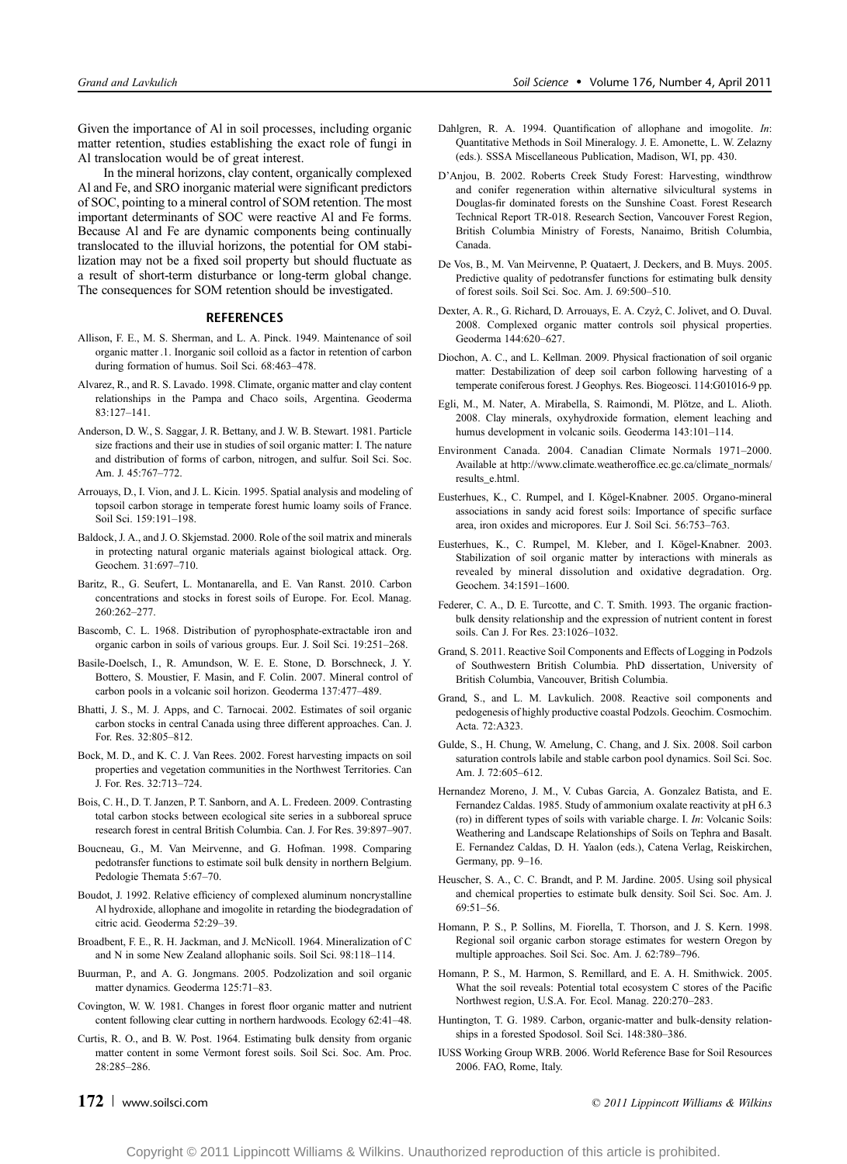Given the importance of Al in soil processes, including organic matter retention, studies establishing the exact role of fungi in Al translocation would be of great interest.

In the mineral horizons, clay content, organically complexed Al and Fe, and SRO inorganic material were significant predictors of SOC, pointing to a mineral control of SOM retention. The most important determinants of SOC were reactive Al and Fe forms. Because Al and Fe are dynamic components being continually translocated to the illuvial horizons, the potential for OM stabilization may not be a fixed soil property but should fluctuate as a result of short-term disturbance or long-term global change. The consequences for SOM retention should be investigated.

### **REFERENCES**

- Allison, F. E., M. S. Sherman, and L. A. Pinck. 1949. Maintenance of soil organic matter .1. Inorganic soil colloid as a factor in retention of carbon during formation of humus. Soil Sci. 68:463-478.
- Alvarez, R., and R. S. Lavado. 1998. Climate, organic matter and clay content relationships in the Pampa and Chaco soils, Argentina. Geoderma 83:127-141.
- Anderson, D. W., S. Saggar, J. R. Bettany, and J. W. B. Stewart. 1981. Particle size fractions and their use in studies of soil organic matter: I. The nature and distribution of forms of carbon, nitrogen, and sulfur. Soil Sci. Soc. Am. J. 45:767-772.
- Arrouays, D., I. Vion, and J. L. Kicin. 1995. Spatial analysis and modeling of topsoil carbon storage in temperate forest humic loamy soils of France. Soil Sci. 159:191-198.
- Baldock, J. A., and J. O. Skjemstad. 2000. Role of the soil matrix and minerals in protecting natural organic materials against biological attack. Org. Geochem. 31:697-710.
- Baritz, R., G. Seufert, L. Montanarella, and E. Van Ranst. 2010. Carbon concentrations and stocks in forest soils of Europe. For. Ecol. Manag. 260:262-277
- Bascomb, C. L. 1968. Distribution of pyrophosphate-extractable iron and organic carbon in soils of various groups. Eur. J. Soil Sci. 19:251-268.
- Basile-Doelsch, I., R. Amundson, W. E. E. Stone, D. Borschneck, J. Y. Bottero, S. Moustier, F. Masin, and F. Colin. 2007. Mineral control of carbon pools in a volcanic soil horizon. Geoderma 137:477-489.
- Bhatti, J. S., M. J. Apps, and C. Tarnocai. 2002. Estimates of soil organic carbon stocks in central Canada using three different approaches. Can. J. For. Res. 32:805-812.
- Bock, M. D., and K. C. J. Van Rees. 2002. Forest harvesting impacts on soil properties and vegetation communities in the Northwest Territories. Can J. For. Res. 32:713-724.
- Bois, C. H., D. T. Janzen, P. T. Sanborn, and A. L. Fredeen. 2009. Contrasting total carbon stocks between ecological site series in a subboreal spruce research forest in central British Columbia. Can. J. For Res. 39:897-907.
- Boucneau, G., M. Van Meirvenne, and G. Hofman. 1998. Comparing pedotransfer functions to estimate soil bulk density in northern Belgium. Pedologie Themata 5:67-70.
- Boudot, J. 1992. Relative efficiency of complexed aluminum noncrystalline Al hydroxide, allophane and imogolite in retarding the biodegradation of citric acid. Geoderma 52:29-39.
- Broadbent, F. E., R. H. Jackman, and J. McNicoll. 1964. Mineralization of C and N in some New Zealand allophanic soils. Soil Sci. 98:118-114.
- Buurman, P., and A. G. Jongmans. 2005. Podzolization and soil organic matter dynamics. Geoderma 125:71-83.
- Covington, W. W. 1981. Changes in forest floor organic matter and nutrient content following clear cutting in northern hardwoods. Ecology 62:41-48.
- Curtis, R. O., and B. W. Post. 1964. Estimating bulk density from organic matter content in some Vermont forest soils. Soil Sci. Soc. Am. Proc. 28:285-286.

- Dahlgren, R. A. 1994. Quantification of allophane and imogolite. In: Quantitative Methods in Soil Mineralogy. J. E. Amonette, L. W. Zelazny (eds.). SSSA Miscellaneous Publication, Madison, WI, pp. 430.
- D'Anjou, B. 2002. Roberts Creek Study Forest: Harvesting, windthrow and conifer regeneration within alternative silvicultural systems in Douglas-fir dominated forests on the Sunshine Coast. Forest Research Technical Report TR-018. Research Section, Vancouver Forest Region, British Columbia Ministry of Forests, Nanaimo, British Columbia, Canada.
- De Vos, B., M. Van Meirvenne, P. Quataert, J. Deckers, and B. Muys. 2005. Predictive quality of pedotransfer functions for estimating bulk density of forest soils. Soil Sci. Soc. Am. J. 69:500-510.
- Dexter, A. R., G. Richard, D. Arrouays, E. A. Czyż, C. Jolivet, and O. Duval. 2008. Complexed organic matter controls soil physical properties. Geoderma 144:620-627.
- Diochon, A. C., and L. Kellman. 2009. Physical fractionation of soil organic matter: Destabilization of deep soil carbon following harvesting of a temperate coniferous forest. J Geophys. Res. Biogeosci. 114:G01016-9 pp.
- Egli, M., M. Nater, A. Mirabella, S. Raimondi, M. Plötze, and L. Alioth. 2008. Clay minerals, oxyhydroxide formation, element leaching and humus development in volcanic soils. Geoderma 143:101-114.
- Environment Canada. 2004. Canadian Climate Normals 1971-2000. Available at http://www.climate.weatheroffice.ec.gc.ca/climate\_normals/ results\_e.html.
- Eusterhues, K., C. Rumpel, and I. Kögel-Knabner. 2005. Organo-mineral associations in sandy acid forest soils: Importance of specific surface area, iron oxides and micropores. Eur J. Soil Sci. 56:753-763.
- Eusterhues, K., C. Rumpel, M. Kleber, and I. Kögel-Knabner. 2003. Stabilization of soil organic matter by interactions with minerals as revealed by mineral dissolution and oxidative degradation. Org. Geochem. 34:1591-1600.
- Federer, C. A., D. E. Turcotte, and C. T. Smith. 1993. The organic fractionbulk density relationship and the expression of nutrient content in forest soils. Can J. For Res. 23:1026-1032.
- Grand, S. 2011. Reactive Soil Components and Effects of Logging in Podzols of Southwestern British Columbia. PhD dissertation, University of British Columbia, Vancouver, British Columbia.
- Grand, S., and L. M. Lavkulich. 2008. Reactive soil components and pedogenesis of highly productive coastal Podzols. Geochim. Cosmochim. Acta. 72:A323.
- Gulde, S., H. Chung, W. Amelung, C. Chang, and J. Six. 2008. Soil carbon saturation controls labile and stable carbon pool dynamics. Soil Sci. Soc. Am. J. 72:605-612.
- Hernandez Moreno, J. M., V. Cubas Garcia, A. Gonzalez Batista, and E. Fernandez Caldas. 1985. Study of ammonium oxalate reactivity at pH 6.3 (ro) in different types of soils with variable charge. I. In: Volcanic Soils: Weathering and Landscape Relationships of Soils on Tephra and Basalt. E. Fernandez Caldas, D. H. Yaalon (eds.), Catena Verlag, Reiskirchen, Germany, pp.  $9-16$ .
- Heuscher, S. A., C. C. Brandt, and P. M. Jardine. 2005. Using soil physical and chemical properties to estimate bulk density. Soil Sci. Soc. Am. J.  $69:51 - 56.$
- Homann, P. S., P. Sollins, M. Fiorella, T. Thorson, and J. S. Kern. 1998. Regional soil organic carbon storage estimates for western Oregon by multiple approaches. Soil Sci. Soc. Am. J. 62:789-796.
- Homann, P. S., M. Harmon, S. Remillard, and E. A. H. Smithwick. 2005. What the soil reveals: Potential total ecosystem C stores of the Pacific Northwest region, U.S.A. For. Ecol. Manag. 220:270-283.
- Huntington, T. G. 1989. Carbon, organic-matter and bulk-density relationships in a forested Spodosol. Soil Sci. 148:380-386.
- IUSS Working Group WRB. 2006. World Reference Base for Soil Resources 2006. FAO, Rome, Italy.

 $172$  www.soilsci.com  $\degree$  2011 Lippincott Williams & Wilkins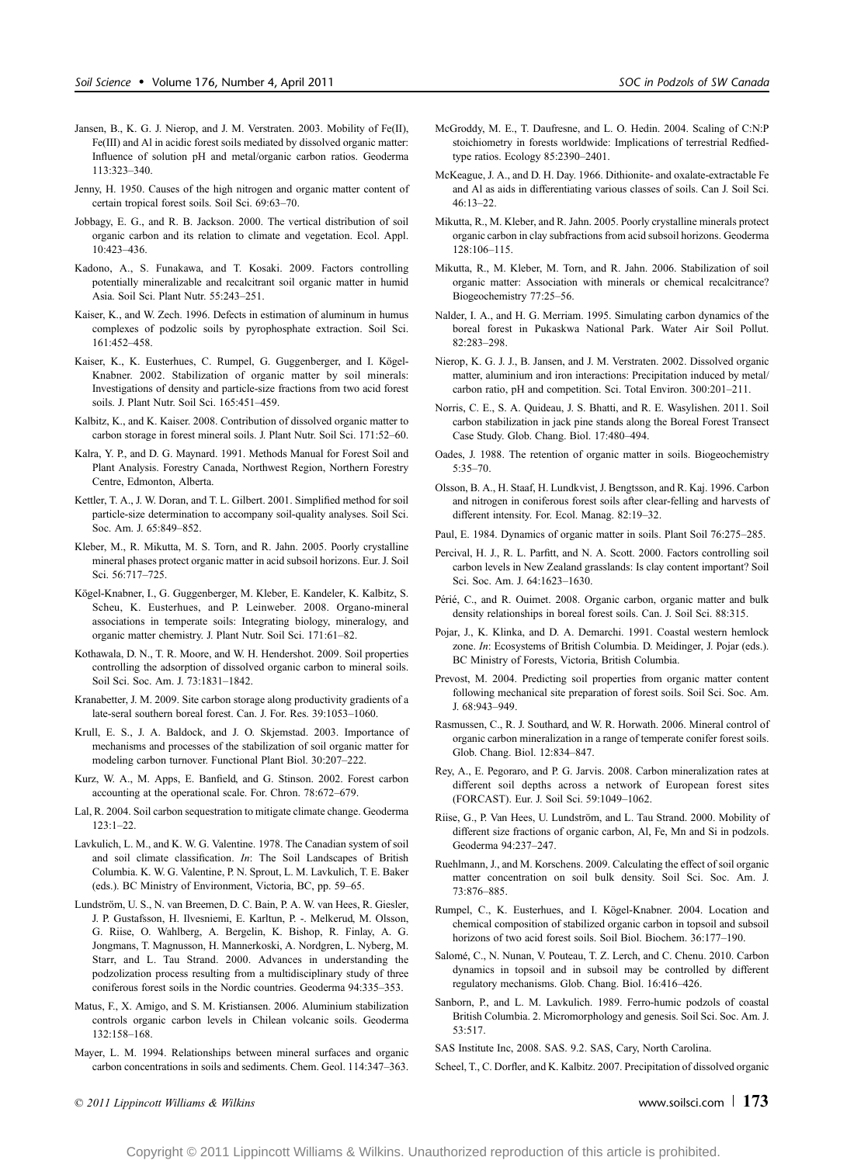- Jansen, B., K. G. J. Nierop, and J. M. Verstraten. 2003. Mobility of Fe(II), Fe(III) and Al in acidic forest soils mediated by dissolved organic matter: Influence of solution pH and metal/organic carbon ratios. Geoderma 113:323-340.
- Jenny, H. 1950. Causes of the high nitrogen and organic matter content of certain tropical forest soils. Soil Sci. 69:63-70.
- Jobbagy, E. G., and R. B. Jackson. 2000. The vertical distribution of soil organic carbon and its relation to climate and vegetation. Ecol. Appl.  $10.423 - 436$
- Kadono, A., S. Funakawa, and T. Kosaki. 2009. Factors controlling potentially mineralizable and recalcitrant soil organic matter in humid Asia. Soil Sci. Plant Nutr. 55:243-251.
- Kaiser, K., and W. Zech. 1996. Defects in estimation of aluminum in humus complexes of podzolic soils by pyrophosphate extraction. Soil Sci. 161:452-458.
- Kaiser, K., K. Eusterhues, C. Rumpel, G. Guggenberger, and I. Kögel-Knabner. 2002. Stabilization of organic matter by soil minerals: Investigations of density and particle-size fractions from two acid forest soils. J. Plant Nutr. Soil Sci. 165:451-459.
- Kalbitz, K., and K. Kaiser. 2008. Contribution of dissolved organic matter to carbon storage in forest mineral soils. J. Plant Nutr. Soil Sci.  $171:52-60$ .
- Kalra, Y. P., and D. G. Maynard. 1991. Methods Manual for Forest Soil and Plant Analysis. Forestry Canada, Northwest Region, Northern Forestry Centre, Edmonton, Alberta.
- Kettler, T. A., J. W. Doran, and T. L. Gilbert. 2001. Simplified method for soil particle-size determination to accompany soil-quality analyses. Soil Sci. Soc. Am. J. 65:849-852.
- Kleber, M., R. Mikutta, M. S. Torn, and R. Jahn. 2005. Poorly crystalline mineral phases protect organic matter in acid subsoil horizons. Eur. J. Soil Sci. 56:717-725.
- Kögel-Knabner, I., G. Guggenberger, M. Kleber, E. Kandeler, K. Kalbitz, S. Scheu, K. Eusterhues, and P. Leinweber. 2008. Organo-mineral associations in temperate soils: Integrating biology, mineralogy, and organic matter chemistry. J. Plant Nutr. Soil Sci. 171:61-82.
- Kothawala, D. N., T. R. Moore, and W. H. Hendershot. 2009. Soil properties controlling the adsorption of dissolved organic carbon to mineral soils. Soil Sci. Soc. Am. J. 73:1831-1842.
- Kranabetter, J. M. 2009. Site carbon storage along productivity gradients of a late-seral southern boreal forest. Can. J. For. Res. 39:1053-1060.
- Krull, E. S., J. A. Baldock, and J. O. Skjemstad. 2003. Importance of mechanisms and processes of the stabilization of soil organic matter for modeling carbon turnover. Functional Plant Biol. 30:207-222.
- Kurz, W. A., M. Apps, E. Banfield, and G. Stinson. 2002. Forest carbon accounting at the operational scale. For. Chron. 78:672-679.
- Lal, R. 2004. Soil carbon sequestration to mitigate climate change. Geoderma  $123:1 - 22$
- Lavkulich, L. M., and K. W. G. Valentine. 1978. The Canadian system of soil and soil climate classification. In: The Soil Landscapes of British Columbia. K. W. G. Valentine, P. N. Sprout, L. M. Lavkulich, T. E. Baker (eds.). BC Ministry of Environment, Victoria, BC, pp. 59-65.
- Lundström, U. S., N. van Breemen, D. C. Bain, P. A. W. van Hees, R. Giesler, J. P. Gustafsson, H. Ilvesniemi, E. Karltun, P. -. Melkerud, M. Olsson, G. Riise, O. Wahlberg, A. Bergelin, K. Bishop, R. Finlay, A. G. Jongmans, T. Magnusson, H. Mannerkoski, A. Nordgren, L. Nyberg, M. Starr, and L. Tau Strand. 2000. Advances in understanding the podzolization process resulting from a multidisciplinary study of three coniferous forest soils in the Nordic countries. Geoderma 94:335-353.
- Matus, F., X. Amigo, and S. M. Kristiansen. 2006. Aluminium stabilization controls organic carbon levels in Chilean volcanic soils. Geoderma 132:158-168.
- Mayer, L. M. 1994. Relationships between mineral surfaces and organic carbon concentrations in soils and sediments. Chem. Geol. 114:347-363.

McGroddy, M. E., T. Daufresne, and L. O. Hedin. 2004. Scaling of C:N:P stoichiometry in forests worldwide: Implications of terrestrial Redfiedtype ratios. Ecology 85:2390-2401.

- McKeague, J. A., and D. H. Day. 1966. Dithionite- and oxalate-extractable Fe and Al as aids in differentiating various classes of soils. Can J. Soil Sci.  $46:13 - 22.$
- Mikutta, R., M. Kleber, and R. Jahn. 2005. Poorly crystalline minerals protect organic carbon in clay subfractions from acid subsoil horizons. Geoderma  $128:106 - 115$
- Mikutta, R., M. Kleber, M. Torn, and R. Jahn. 2006. Stabilization of soil organic matter: Association with minerals or chemical recalcitrance? Biogeochemistry 77:25-56.
- Nalder, I. A., and H. G. Merriam. 1995. Simulating carbon dynamics of the boreal forest in Pukaskwa National Park. Water Air Soil Pollut. 82:283-298.
- Nierop, K. G. J. J., B. Jansen, and J. M. Verstraten. 2002. Dissolved organic matter, aluminium and iron interactions: Precipitation induced by metal/ carbon ratio, pH and competition. Sci. Total Environ. 300:201-211.
- Norris, C. E., S. A. Quideau, J. S. Bhatti, and R. E. Wasylishen. 2011. Soil carbon stabilization in jack pine stands along the Boreal Forest Transect Case Study. Glob. Chang. Biol. 17:480-494.
- Oades, J. 1988. The retention of organic matter in soils. Biogeochemistry  $5:35 - 70.$
- Olsson, B. A., H. Staaf, H. Lundkvist, J. Bengtsson, and R. Kaj. 1996. Carbon and nitrogen in coniferous forest soils after clear-felling and harvests of different intensity. For. Ecol. Manag. 82:19-32.
- Paul, E. 1984. Dynamics of organic matter in soils. Plant Soil 76:275-285.
- Percival, H. J., R. L. Parfitt, and N. A. Scott. 2000. Factors controlling soil carbon levels in New Zealand grasslands: Is clay content important? Soil Sci. Soc. Am. J. 64:1623-1630.
- Périé, C., and R. Ouimet. 2008. Organic carbon, organic matter and bulk density relationships in boreal forest soils. Can. J. Soil Sci. 88:315.
- Pojar, J., K. Klinka, and D. A. Demarchi. 1991. Coastal western hemlock zone. In: Ecosystems of British Columbia. D. Meidinger, J. Pojar (eds.). BC Ministry of Forests, Victoria, British Columbia.
- Prevost, M. 2004. Predicting soil properties from organic matter content following mechanical site preparation of forest soils. Soil Sci. Soc. Am. J. 68:943-949.
- Rasmussen, C., R. J. Southard, and W. R. Horwath. 2006. Mineral control of organic carbon mineralization in a range of temperate conifer forest soils. Glob. Chang. Biol. 12:834-847.
- Rey, A., E. Pegoraro, and P. G. Jarvis. 2008. Carbon mineralization rates at different soil depths across a network of European forest sites (FORCAST). Eur. J. Soil Sci. 59:1049-1062.
- Riise, G., P. Van Hees, U. Lundström, and L. Tau Strand. 2000. Mobility of different size fractions of organic carbon, Al, Fe, Mn and Si in podzols. Geoderma 94:237-247.
- Ruehlmann, J., and M. Korschens. 2009. Calculating the effect of soil organic matter concentration on soil bulk density. Soil Sci. Soc. Am. J. 73:876-885.
- Rumpel, C., K. Eusterhues, and I. Kögel-Knabner. 2004. Location and chemical composition of stabilized organic carbon in topsoil and subsoil horizons of two acid forest soils. Soil Biol. Biochem. 36:177-190.
- Salomé, C., N. Nunan, V. Pouteau, T. Z. Lerch, and C. Chenu. 2010. Carbon dynamics in topsoil and in subsoil may be controlled by different regulatory mechanisms. Glob. Chang. Biol. 16:416-426
- Sanborn, P., and L. M. Lavkulich. 1989. Ferro-humic podzols of coastal British Columbia. 2. Micromorphology and genesis. Soil Sci. Soc. Am. J. 53:517.
- SAS Institute Inc, 2008. SAS. 9.2. SAS, Cary, North Carolina.
- Scheel, T., C. Dorfler, and K. Kalbitz. 2007. Precipitation of dissolved organic

© 2011 Lippincott Williams & Wilkins www.soilsci.com |  $173$